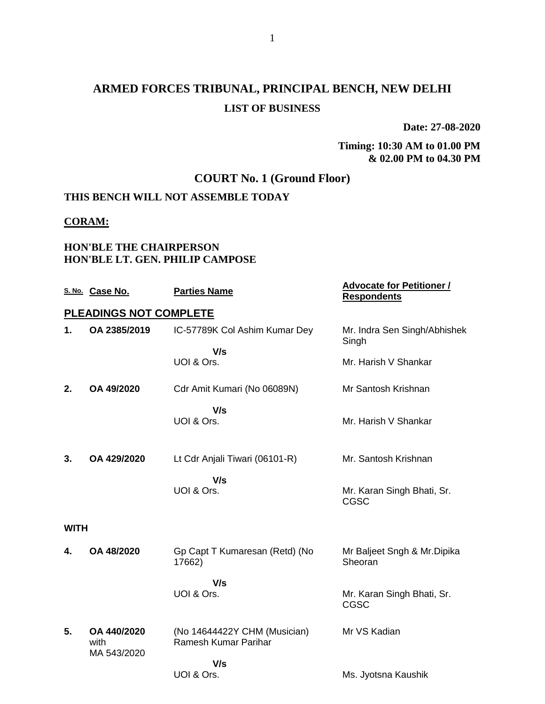**Date: 27-08-2020**

#### **Timing: 10:30 AM to 01.00 PM & 02.00 PM to 04.30 PM**

### **COURT No. 1 (Ground Floor)**

### **THIS BENCH WILL NOT ASSEMBLE TODAY**

#### **CORAM:**

#### **HON'BLE THE CHAIRPERSON HON'BLE LT. GEN. PHILIP CAMPOSE**

|             | S. No. Case No.        | <b>Parties Name</b>                                  | <b>Advocate for Petitioner /</b><br><b>Respondents</b> |
|-------------|------------------------|------------------------------------------------------|--------------------------------------------------------|
|             | PLEADINGS NOT COMPLETE |                                                      |                                                        |
| 1.          | OA 2385/2019           | IC-57789K Col Ashim Kumar Dey                        | Mr. Indra Sen Singh/Abhishek<br>Singh                  |
|             |                        | V/s<br>UOI & Ors.                                    | Mr. Harish V Shankar                                   |
| 2.          | OA 49/2020             | Cdr Amit Kumari (No 06089N)                          | Mr Santosh Krishnan                                    |
|             |                        | V/s<br>UOI & Ors.                                    | Mr. Harish V Shankar                                   |
| 3.          | OA 429/2020            | Lt Cdr Anjali Tiwari (06101-R)                       | Mr. Santosh Krishnan                                   |
|             |                        | V/s<br>UOI & Ors.                                    | Mr. Karan Singh Bhati, Sr.<br>CGSC                     |
| <b>WITH</b> |                        |                                                      |                                                        |
| 4.          | OA 48/2020             | Gp Capt T Kumaresan (Retd) (No<br>17662)             | Mr Baljeet Sngh & Mr. Dipika<br>Sheoran                |
|             |                        | V/s<br>UOI & Ors.                                    | Mr. Karan Singh Bhati, Sr.<br><b>CGSC</b>              |
| 5.          | OA 440/2020<br>with    | (No 14644422Y CHM (Musician)<br>Ramesh Kumar Parihar | Mr VS Kadian                                           |
|             | MA 543/2020            | V/s                                                  |                                                        |
|             |                        | UOI & Ors.                                           | Ms. Jyotsna Kaushik                                    |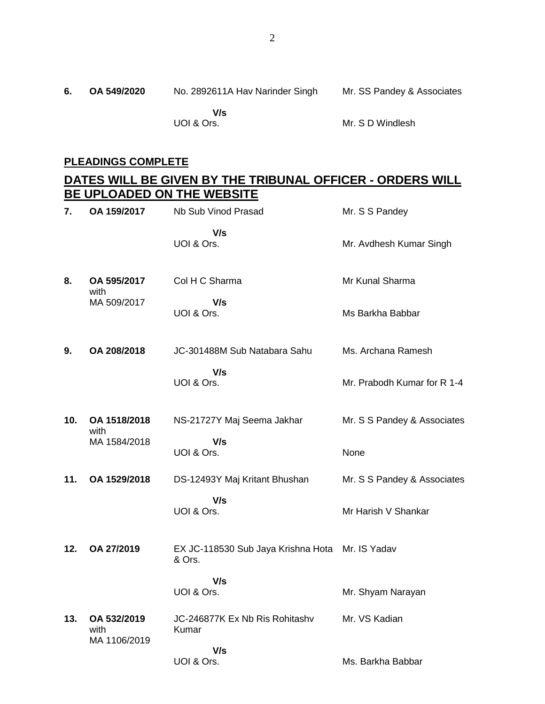### **PLEADINGS COMPLETE**

### **DATES WILL BE GIVEN BY THE TRIBUNAL OFFICER - ORDERS WILL BE UPLOADED ON THE WEBSITE**

| 7.  | OA 159/2017                         | Nb Sub Vinod Prasad                          | Mr. S S Pandey              |
|-----|-------------------------------------|----------------------------------------------|-----------------------------|
|     |                                     | V/s<br>UOI & Ors.                            | Mr. Avdhesh Kumar Singh     |
| 8.  | OA 595/2017<br>with                 | Col H C Sharma                               | Mr Kunal Sharma             |
|     | MA 509/2017                         | V/s<br>UOI & Ors.                            | Ms Barkha Babbar            |
| 9.  | OA 208/2018                         | JC-301488M Sub Natabara Sahu                 | Ms. Archana Ramesh          |
|     |                                     | V/s<br>UOI & Ors.                            | Mr. Prabodh Kumar for R 1-4 |
| 10. | OA 1518/2018<br>with                | NS-21727Y Maj Seema Jakhar                   | Mr. S S Pandey & Associates |
|     | MA 1584/2018                        | V/s<br>UOI & Ors.                            | None                        |
| 11. | OA 1529/2018                        | DS-12493Y Maj Kritant Bhushan                | Mr. S S Pandey & Associates |
|     |                                     | V/s<br>UOI & Ors.                            | Mr Harish V Shankar         |
| 12. | OA 27/2019                          | EX JC-118530 Sub Jaya Krishna Hota<br>& Ors. | Mr. IS Yadav                |
|     |                                     | V/s<br>UOI & Ors.                            | Mr. Shyam Narayan           |
| 13. | OA 532/2019<br>with<br>MA 1106/2019 | JC-246877K Ex Nb Ris Rohitashy<br>Kumar      | Mr. VS Kadian               |
|     |                                     | V/s<br>UOI & Ors.                            | Ms. Barkha Babbar           |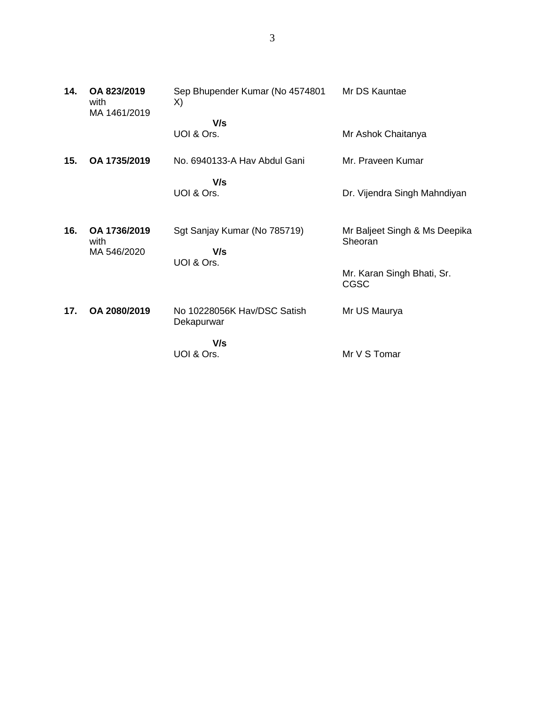| 14. | OA 823/2019<br>with<br>MA 1461/2019 | Sep Bhupender Kumar (No 4574801<br>X)     | Mr DS Kauntae                            |
|-----|-------------------------------------|-------------------------------------------|------------------------------------------|
|     |                                     | V/s<br>UOI & Ors.                         | Mr Ashok Chaitanya                       |
| 15. | OA 1735/2019                        | No. 6940133-A Hav Abdul Gani              | Mr. Praveen Kumar                        |
|     |                                     | V/s<br>UOI & Ors.                         | Dr. Vijendra Singh Mahndiyan             |
| 16. | OA 1736/2019<br>with<br>MA 546/2020 | Sgt Sanjay Kumar (No 785719)<br>V/s       | Mr Baljeet Singh & Ms Deepika<br>Sheoran |
|     |                                     | UOI & Ors.                                | Mr. Karan Singh Bhati, Sr.<br>CGSC       |
| 17. | OA 2080/2019                        | No 10228056K Hav/DSC Satish<br>Dekapurwar | Mr US Maurya                             |

 **V/s** UOI & Ors.

Mr V S Tomar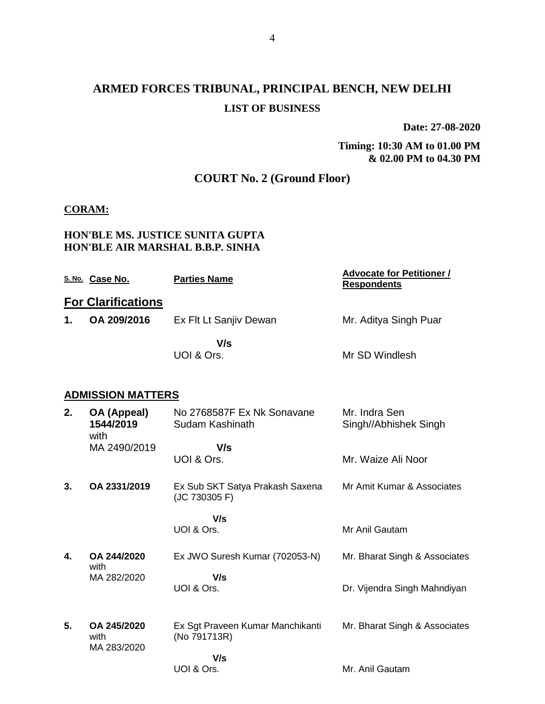**Date: 27-08-2020**

**Timing: 10:30 AM to 01.00 PM & 02.00 PM to 04.30 PM**

### **COURT No. 2 (Ground Floor)**

#### **CORAM:**

#### **HON'BLE MS. JUSTICE SUNITA GUPTA HON'BLE AIR MARSHAL B.B.P. SINHA**

|    | S. No. Case No.                    | <b>Parties Name</b>                              | <b>Advocate for Petitioner /</b><br><b>Respondents</b> |
|----|------------------------------------|--------------------------------------------------|--------------------------------------------------------|
|    | <b>For Clarifications</b>          |                                                  |                                                        |
| 1. | OA 209/2016                        | Ex Flt Lt Sanjiv Dewan                           | Mr. Aditya Singh Puar                                  |
|    |                                    | V/s<br>UOI & Ors.                                | Mr SD Windlesh                                         |
|    | <b>ADMISSION MATTERS</b>           |                                                  |                                                        |
| 2. | OA (Appeal)<br>1544/2019<br>with   | No 2768587F Ex Nk Sonavane<br>Sudam Kashinath    | Mr. Indra Sen<br>Singh//Abhishek Singh                 |
|    | MA 2490/2019                       | V/s<br>UOI & Ors.                                | Mr. Waize Ali Noor                                     |
| 3. | OA 2331/2019                       | Ex Sub SKT Satya Prakash Saxena<br>(JC 730305 F) | Mr Amit Kumar & Associates                             |
|    |                                    | V/s<br>UOI & Ors.                                | Mr Anil Gautam                                         |
|    |                                    |                                                  |                                                        |
| 4. | OA 244/2020<br>with                | Ex JWO Suresh Kumar (702053-N)                   | Mr. Bharat Singh & Associates                          |
|    | MA 282/2020                        | V/s<br>UOI & Ors.                                | Dr. Vijendra Singh Mahndiyan                           |
| 5. | OA 245/2020<br>with<br>MA 283/2020 | Ex Sgt Praveen Kumar Manchikanti<br>(No 791713R) | Mr. Bharat Singh & Associates                          |
|    |                                    | V/s<br>UOI & Ors.                                | Mr. Anil Gautam                                        |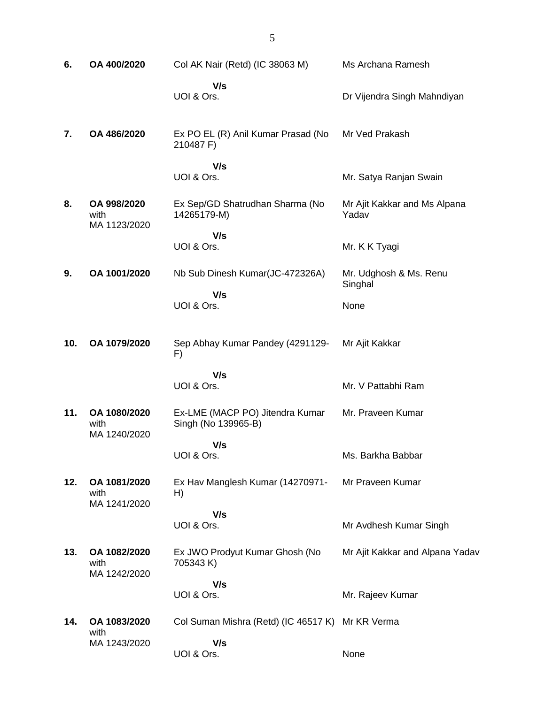| 6.  | OA 400/2020                         | Col AK Nair (Retd) (IC 38063 M)                        | Ms Archana Ramesh                     |
|-----|-------------------------------------|--------------------------------------------------------|---------------------------------------|
|     |                                     | V/s<br>UOI & Ors.                                      | Dr Vijendra Singh Mahndiyan           |
| 7.  | OA 486/2020                         | Ex PO EL (R) Anil Kumar Prasad (No<br>210487 F)        | Mr Ved Prakash                        |
|     |                                     | V/s<br>UOI & Ors.                                      | Mr. Satya Ranjan Swain                |
| 8.  | OA 998/2020<br>with<br>MA 1123/2020 | Ex Sep/GD Shatrudhan Sharma (No<br>14265179-M)         | Mr Ajit Kakkar and Ms Alpana<br>Yadav |
|     |                                     | V/s<br>UOI & Ors.                                      | Mr. K K Tyagi                         |
| 9.  | OA 1001/2020                        | Nb Sub Dinesh Kumar(JC-472326A)                        | Mr. Udghosh & Ms. Renu<br>Singhal     |
|     |                                     | V/s<br>UOI & Ors.                                      | None                                  |
| 10. | OA 1079/2020                        | Sep Abhay Kumar Pandey (4291129-<br>F)                 | Mr Ajit Kakkar                        |
|     |                                     | V/s<br>UOI & Ors.                                      | Mr. V Pattabhi Ram                    |
| 11. | OA 1080/2020<br>with                | Ex-LME (MACP PO) Jitendra Kumar<br>Singh (No 139965-B) | Mr. Praveen Kumar                     |
|     | MA 1240/2020                        | V/s<br>UOI & Ors.                                      | Ms. Barkha Babbar                     |
| 12. | OA 1081/2020<br>with                | Ex Hav Manglesh Kumar (14270971-<br>H)                 | Mr Praveen Kumar                      |
|     | MA 1241/2020                        | V/s<br>UOI & Ors.                                      | Mr Avdhesh Kumar Singh                |
| 13. | OA 1082/2020<br>with                | Ex JWO Prodyut Kumar Ghosh (No<br>705343 K)            | Mr Ajit Kakkar and Alpana Yadav       |
|     | MA 1242/2020                        | V/s<br>UOI & Ors.                                      | Mr. Rajeev Kumar                      |
| 14. | OA 1083/2020                        | Col Suman Mishra (Retd) (IC 46517 K)                   | Mr KR Verma                           |
|     | with<br>MA 1243/2020                | V/s<br>UOI & Ors.                                      | None                                  |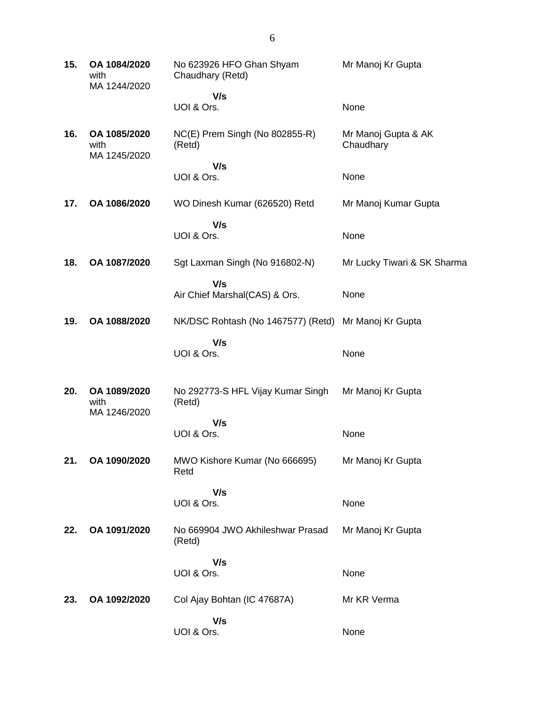| 15. | OA 1084/2020<br>with<br>MA 1244/2020 | No 623926 HFO Ghan Shyam<br>Chaudhary (Retd) | Mr Manoj Kr Gupta                |
|-----|--------------------------------------|----------------------------------------------|----------------------------------|
|     |                                      | V/s                                          |                                  |
|     |                                      | UOI & Ors.                                   | None                             |
| 16. | OA 1085/2020<br>with<br>MA 1245/2020 | NC(E) Prem Singh (No 802855-R)<br>(Retd)     | Mr Manoj Gupta & AK<br>Chaudhary |
|     |                                      | V/s<br>UOI & Ors.                            | None                             |
| 17. | OA 1086/2020                         | WO Dinesh Kumar (626520) Retd                | Mr Manoj Kumar Gupta             |
|     |                                      | V/s<br>UOI & Ors.                            | None                             |
| 18. | OA 1087/2020                         | Sgt Laxman Singh (No 916802-N)               | Mr Lucky Tiwari & SK Sharma      |
|     |                                      | V/s<br>Air Chief Marshal(CAS) & Ors.         | None                             |
| 19. | OA 1088/2020                         | NK/DSC Rohtash (No 1467577) (Retd)           | Mr Manoj Kr Gupta                |
|     |                                      | V/s<br>UOI & Ors.                            | None                             |
| 20. | OA 1089/2020<br>with<br>MA 1246/2020 | No 292773-S HFL Vijay Kumar Singh<br>(Retd)  | Mr Manoj Kr Gupta                |
|     |                                      | V/s<br>UOI & Ors.                            | None                             |
| 21. | OA 1090/2020                         | MWO Kishore Kumar (No 666695)<br>Retd        | Mr Manoj Kr Gupta                |
|     |                                      | V/s                                          |                                  |
|     |                                      | UOI & Ors.                                   | None                             |
| 22. | OA 1091/2020                         | No 669904 JWO Akhileshwar Prasad<br>(Retd)   | Mr Manoj Kr Gupta                |
|     |                                      | V/s<br>UOI & Ors.                            | None                             |
| 23. | OA 1092/2020                         | Col Ajay Bohtan (IC 47687A)                  | Mr KR Verma                      |
|     |                                      | V/s<br>UOI & Ors.                            | None                             |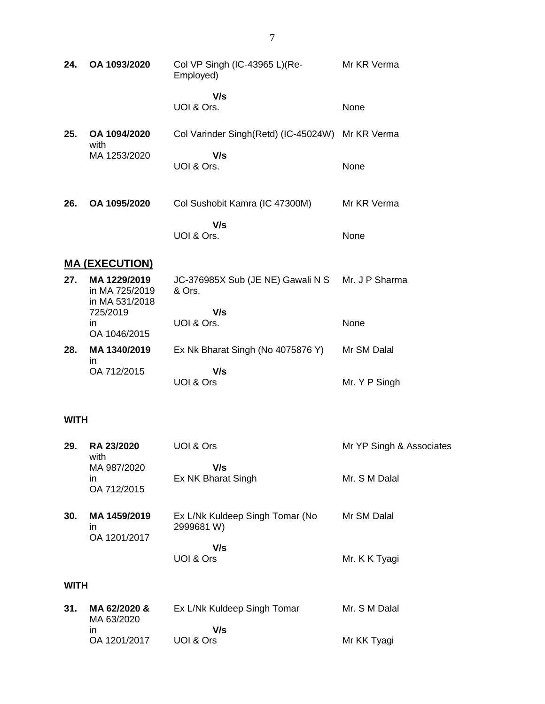| 24. | OA 1093/2020                                     | Col VP Singh (IC-43965 L)(Re-<br>Employed)       | Mr KR Verma    |
|-----|--------------------------------------------------|--------------------------------------------------|----------------|
|     |                                                  | V/s<br>UOI & Ors.                                | None           |
| 25. | OA 1094/2020<br>with                             | Col Varinder Singh(Retd) (IC-45024W) Mr KR Verma |                |
|     | MA 1253/2020                                     | V/s<br>UOI & Ors.                                | None           |
| 26. | OA 1095/2020                                     | Col Sushobit Kamra (IC 47300M)                   | Mr KR Verma    |
|     |                                                  | V/s<br>UOI & Ors.                                | None           |
|     | <b>MA (EXECUTION)</b>                            |                                                  |                |
| 27. | MA 1229/2019<br>in MA 725/2019<br>in MA 531/2018 | JC-376985X Sub (JE NE) Gawali N S<br>& Ors.      | Mr. J P Sharma |
|     | 725/2019<br>in.<br>OA 1046/2015                  | V/s<br>UOI & Ors.                                | None           |
| 28. | MA 1340/2019                                     | Ex Nk Bharat Singh (No 4075876 Y)                | Mr SM Dalal    |
|     | in.<br>OA 712/2015                               | V/s<br>UOI & Ors                                 | Mr. Y P Singh  |

#### **WITH**

| 29.  | <b>RA 23/2020</b><br>with          | UOI & Ors                                     | Mr YP Singh & Associates |
|------|------------------------------------|-----------------------------------------------|--------------------------|
|      | MA 987/2020<br>in.<br>OA 712/2015  | V/s<br>Ex NK Bharat Singh                     | Mr. S M Dalal            |
| 30.  | MA 1459/2019<br>ın<br>OA 1201/2017 | Ex L/Nk Kuldeep Singh Tomar (No<br>2999681 W) | Mr SM Dalal              |
|      |                                    | V/s<br>UOI & Ors                              | Mr. K K Tyagi            |
| WITH |                                    |                                               |                          |

| 31. | MA 62/2020 &<br>MA 63/2020 | Ex L/Nk Kuldeep Singh Tomar | Mr. S M Dalal |
|-----|----------------------------|-----------------------------|---------------|
|     | ın                         | V/s                         |               |
|     | OA 1201/2017               | UOI & Ors                   | Mr KK Tyagi   |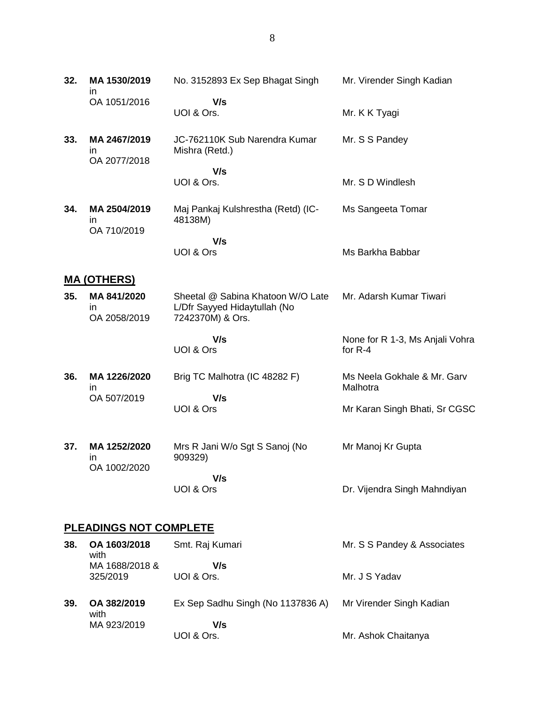| 32.                | MA 1530/2019<br>$\mathsf{I}$       | No. 3152893 Ex Sep Bhagat Singh                                   | Mr. Virender Singh Kadian                    |
|--------------------|------------------------------------|-------------------------------------------------------------------|----------------------------------------------|
|                    | OA 1051/2016                       | V/s<br>UOI & Ors.                                                 | Mr. K K Tyagi                                |
| 33.                | MA 2467/2019<br>in<br>OA 2077/2018 | JC-762110K Sub Narendra Kumar<br>Mishra (Retd.)                   | Mr. S S Pandey                               |
|                    |                                    | V/s<br>UOI & Ors.                                                 | Mr. S D Windlesh                             |
| 34.                | MA 2504/2019<br>$\mathsf{I}$       | Maj Pankaj Kulshrestha (Retd) (IC-<br>48138M)                     | Ms Sangeeta Tomar                            |
|                    | OA 710/2019                        | V/s<br>UOI & Ors                                                  | Ms Barkha Babbar                             |
| <u>MA (OTHERS)</u> |                                    |                                                                   |                                              |
| 35.                | MA 841/2020<br>in                  | Sheetal @ Sabina Khatoon W/O Late<br>L/Dfr Sayyed Hidaytullah (No | Mr. Adarsh Kumar Tiwari                      |
|                    | OA 2058/2019                       | 7242370M) & Ors.<br>V/s<br>UOI & Ors                              | None for R 1-3, Ms Anjali Vohra<br>for $R-4$ |
| 36.                | MA 1226/2020<br>ın<br>OA 507/2019  | Brig TC Malhotra (IC 48282 F)<br>V/s                              | Ms Neela Gokhale & Mr. Garv<br>Malhotra      |
|                    |                                    | UOI & Ors                                                         | Mr Karan Singh Bhati, Sr CGSC                |
| 37.                | MA 1252/2020<br>in<br>OA 1002/2020 | Mrs R Jani W/o Sgt S Sanoj (No<br>909329)                         | Mr Manoj Kr Gupta                            |
|                    |                                    | V/s<br>UOI & Ors                                                  | Dr. Vijendra Singh Mahndiyan                 |
|                    |                                    |                                                                   |                                              |

### **PLEADINGS NOT COMPLETE**

| 38. | OA 1603/2018<br>with | Smt. Raj Kumari                   | Mr. S S Pandey & Associates |
|-----|----------------------|-----------------------------------|-----------------------------|
|     | MA 1688/2018 &       | V/s                               |                             |
|     | 325/2019             | UOI & Ors.                        | Mr. J S Yadav               |
| 39. | OA 382/2019<br>with  | Ex Sep Sadhu Singh (No 1137836 A) | Mr Virender Singh Kadian    |
|     | MA 923/2019          | V/s                               |                             |
|     |                      | UOI & Ors.                        | Mr. Ashok Chaitanya         |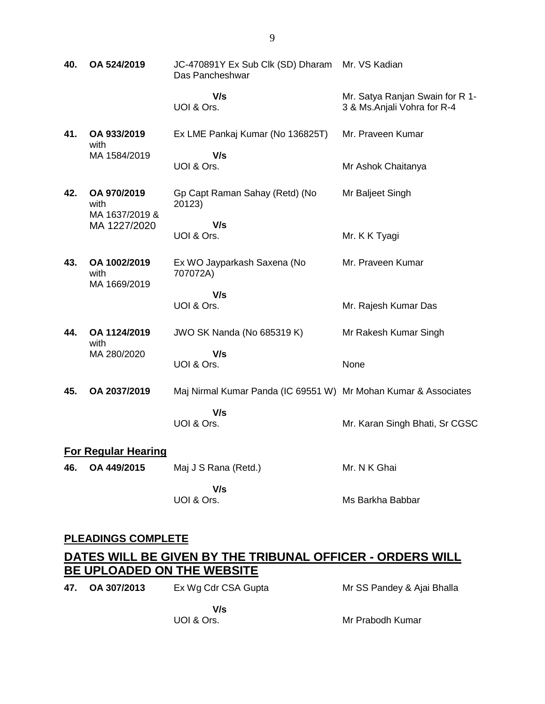**40. OA 524/2019** JC-470891Y Ex Sub Clk (SD) Dharam Mr. VS Kadian Das Pancheshwar  **V/s** UOI & Ors. Mr. Satya Ranjan Swain for R 1- 3 & Ms.Anjali Vohra for R-4 **41. OA 933/2019** with MA 1584/2019 Ex LME Pankaj Kumar (No 136825T)  **V/s** UOI & Ors. Mr. Praveen Kumar Mr Ashok Chaitanya **42. OA 970/2019** with MA 1637/2019 & MA 1227/2020 Gp Capt Raman Sahay (Retd) (No 20123)  **V/s** UOI & Ors. Mr Baljeet Singh Mr. K K Tyagi **43. OA 1002/2019** with MA 1669/2019 Ex WO Jayparkash Saxena (No 707072A)  **V/s** UOI & Ors. Mr. Praveen Kumar Mr. Rajesh Kumar Das **44. OA 1124/2019** with MA 280/2020 JWO SK Nanda (No 685319 K)  **V/s** UOI & Ors. Mr Rakesh Kumar Singh None **45. OA 2037/2019** Maj Nirmal Kumar Panda (IC 69551 W) Mr Mohan Kumar & Associates  **V/s** UOI & Ors. Mr. Karan Singh Bhati, Sr CGSC **For Regular Hearing 46. OA 449/2015** Maj J S Rana (Retd.)  **V/s** UOI & Ors. Mr. N K Ghai Ms Barkha Babbar

#### **PLEADINGS COMPLETE**

### **DATES WILL BE GIVEN BY THE TRIBUNAL OFFICER - ORDERS WILL BE UPLOADED ON THE WEBSITE**

**47. OA 307/2013** Ex Wg Cdr CSA Gupta  **V/s** Mr SS Pandey & Ajai Bhalla

UOI & Ors.

Mr Prabodh Kumar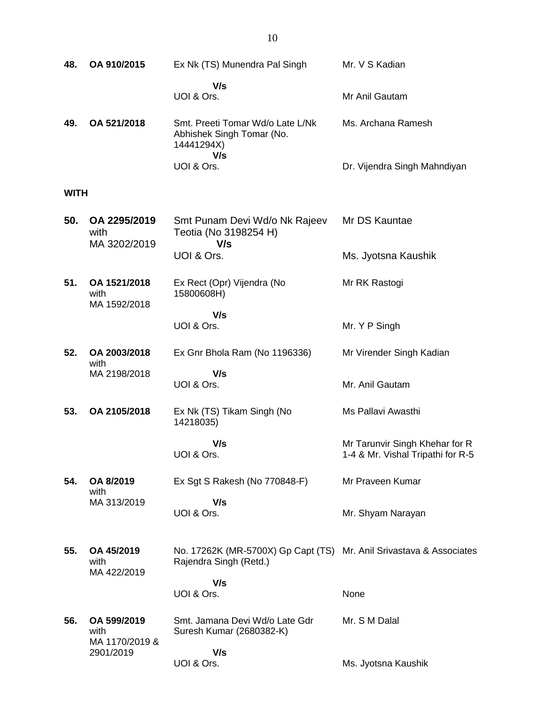| 48.         | OA 910/2015                           | Ex Nk (TS) Munendra Pal Singh                                                                 | Mr. V S Kadian                                                      |
|-------------|---------------------------------------|-----------------------------------------------------------------------------------------------|---------------------------------------------------------------------|
|             |                                       | V/s<br>UOI & Ors.                                                                             | Mr Anil Gautam                                                      |
| 49.         | OA 521/2018                           | Smt. Preeti Tomar Wd/o Late L/Nk<br>Abhishek Singh Tomar (No.<br>14441294X)<br>V/s            | Ms. Archana Ramesh                                                  |
|             |                                       | UOI & Ors.                                                                                    | Dr. Vijendra Singh Mahndiyan                                        |
| <b>WITH</b> |                                       |                                                                                               |                                                                     |
| 50.         | OA 2295/2019<br>with<br>MA 3202/2019  | Smt Punam Devi Wd/o Nk Rajeev<br>Teotia (No 3198254 H)<br>V/s                                 | Mr DS Kauntae                                                       |
|             |                                       | UOI & Ors.                                                                                    | Ms. Jyotsna Kaushik                                                 |
| 51.         | OA 1521/2018<br>with<br>MA 1592/2018  | Ex Rect (Opr) Vijendra (No<br>15800608H)                                                      | Mr RK Rastogi                                                       |
|             |                                       | V/s<br>UOI & Ors.                                                                             | Mr. Y P Singh                                                       |
| 52.         | OA 2003/2018<br>with                  | Ex Gnr Bhola Ram (No 1196336)                                                                 | Mr Virender Singh Kadian                                            |
|             | MA 2198/2018                          | V/s<br>UOI & Ors.                                                                             | Mr. Anil Gautam                                                     |
| 53.         | OA 2105/2018                          | Ex Nk (TS) Tikam Singh (No<br>14218035)                                                       | Ms Pallavi Awasthi                                                  |
|             |                                       | V/s<br>UOI & Ors.                                                                             | Mr Tarunvir Singh Khehar for R<br>1-4 & Mr. Vishal Tripathi for R-5 |
| 54.         | OA 8/2019<br>with                     | Ex Sgt S Rakesh (No 770848-F)                                                                 | Mr Praveen Kumar                                                    |
|             | MA 313/2019                           | V/s<br>UOI & Ors.                                                                             | Mr. Shyam Narayan                                                   |
| 55.         | OA 45/2019<br>with<br>MA 422/2019     | No. 17262K (MR-5700X) Gp Capt (TS) Mr. Anil Srivastava & Associates<br>Rajendra Singh (Retd.) |                                                                     |
|             |                                       | V/s<br>UOI & Ors.                                                                             | None                                                                |
| 56.         | OA 599/2019<br>with<br>MA 1170/2019 & | Smt. Jamana Devi Wd/o Late Gdr<br>Suresh Kumar (2680382-K)                                    | Mr. S M Dalal                                                       |
|             | 2901/2019                             | V/s<br>UOI & Ors.                                                                             | Ms. Jyotsna Kaushik                                                 |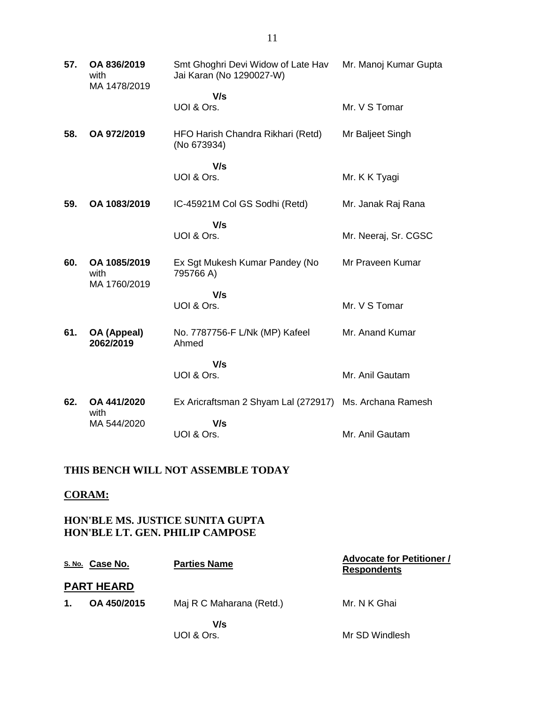| 57. | OA 836/2019<br>with<br>MA 1478/2019  | Smt Ghoghri Devi Widow of Late Hav<br>Jai Karan (No 1290027-W) | Mr. Manoj Kumar Gupta |
|-----|--------------------------------------|----------------------------------------------------------------|-----------------------|
|     |                                      | V/s<br>UOI & Ors.                                              | Mr. V S Tomar         |
| 58. | OA 972/2019                          | HFO Harish Chandra Rikhari (Retd)<br>(No 673934)               | Mr Baljeet Singh      |
|     |                                      | V/s<br>UOI & Ors.                                              | Mr. K K Tyagi         |
| 59. | OA 1083/2019                         | IC-45921M Col GS Sodhi (Retd)                                  | Mr. Janak Raj Rana    |
|     |                                      | V/s<br>UOI & Ors.                                              | Mr. Neeraj, Sr. CGSC  |
| 60. | OA 1085/2019<br>with<br>MA 1760/2019 | Ex Sgt Mukesh Kumar Pandey (No<br>795766 A)                    | Mr Praveen Kumar      |
|     |                                      | V/s<br>UOI & Ors.                                              | Mr. V S Tomar         |
| 61. | OA (Appeal)<br>2062/2019             | No. 7787756-F L/Nk (MP) Kafeel<br>Ahmed                        | Mr. Anand Kumar       |
|     |                                      | V/s<br>UOI & Ors.                                              | Mr. Anil Gautam       |
| 62. | OA 441/2020<br>with                  | Ex Aricraftsman 2 Shyam Lal (272917) Ms. Archana Ramesh        |                       |
|     | MA 544/2020                          | V/s<br>UOI & Ors.                                              | Mr. Anil Gautam       |

## **THIS BENCH WILL NOT ASSEMBLE TODAY**

#### **CORAM:**

**HON'BLE MS. JUSTICE SUNITA GUPTA HON'BLE LT. GEN. PHILIP CAMPOSE**

|                   | <u>s. No.</u> Case No. | <b>Parties Name</b>      | <b>Advocate for Petitioner /</b><br><b>Respondents</b> |
|-------------------|------------------------|--------------------------|--------------------------------------------------------|
| <b>PART HEARD</b> |                        |                          |                                                        |
| $\mathbf 1$ .     | OA 450/2015            | Maj R C Maharana (Retd.) | Mr. N K Ghai                                           |
|                   |                        | V/s<br>UOI & Ors.        | Mr SD Windlesh                                         |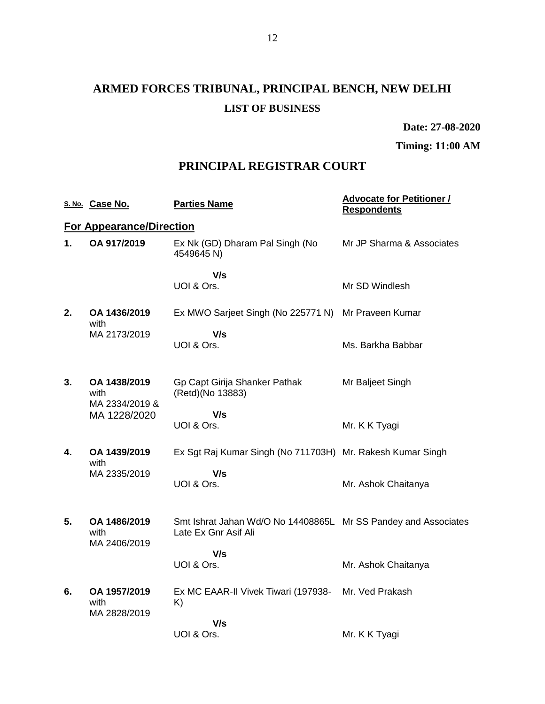**Date: 27-08-2020**

**Timing: 11:00 AM**

### **PRINCIPAL REGISTRAR COURT**

|    | S. No. Case No.                                        | <b>Parties Name</b>                                                                    | <b>Advocate for Petitioner /</b><br><b>Respondents</b> |
|----|--------------------------------------------------------|----------------------------------------------------------------------------------------|--------------------------------------------------------|
|    | <b>For Appearance/Direction</b>                        |                                                                                        |                                                        |
| 1. | OA 917/2019                                            | Ex Nk (GD) Dharam Pal Singh (No<br>4549645 N)                                          | Mr JP Sharma & Associates                              |
|    |                                                        | V/s<br>UOI & Ors.                                                                      | Mr SD Windlesh                                         |
| 2. | OA 1436/2019                                           | Ex MWO Sarjeet Singh (No 225771 N) Mr Praveen Kumar                                    |                                                        |
|    | with<br>MA 2173/2019                                   | V/s<br>UOI & Ors.                                                                      | Ms. Barkha Babbar                                      |
| 3. | OA 1438/2019<br>with<br>MA 2334/2019 &<br>MA 1228/2020 | Gp Capt Girija Shanker Pathak<br>(Retd)(No 13883)                                      | Mr Baljeet Singh                                       |
|    |                                                        | V/s<br>UOI & Ors.                                                                      | Mr. K K Tyagi                                          |
| 4. | OA 1439/2019<br>with                                   | Ex Sgt Raj Kumar Singh (No 711703H) Mr. Rakesh Kumar Singh                             |                                                        |
|    | MA 2335/2019                                           | V/s<br>UOI & Ors.                                                                      | Mr. Ashok Chaitanya                                    |
| 5. | OA 1486/2019<br>with<br>MA 2406/2019                   | Smt Ishrat Jahan Wd/O No 14408865L Mr SS Pandey and Associates<br>Late Ex Gnr Asif Ali |                                                        |
|    |                                                        | V/s<br>UOI & Ors.                                                                      | Mr. Ashok Chaitanya                                    |
| 6. | OA 1957/2019<br>with<br>MA 2828/2019                   | Ex MC EAAR-II Vivek Tiwari (197938- Mr. Ved Prakash<br>K)                              |                                                        |
|    |                                                        | V/s<br>UOI & Ors.                                                                      | Mr. K K Tyagi                                          |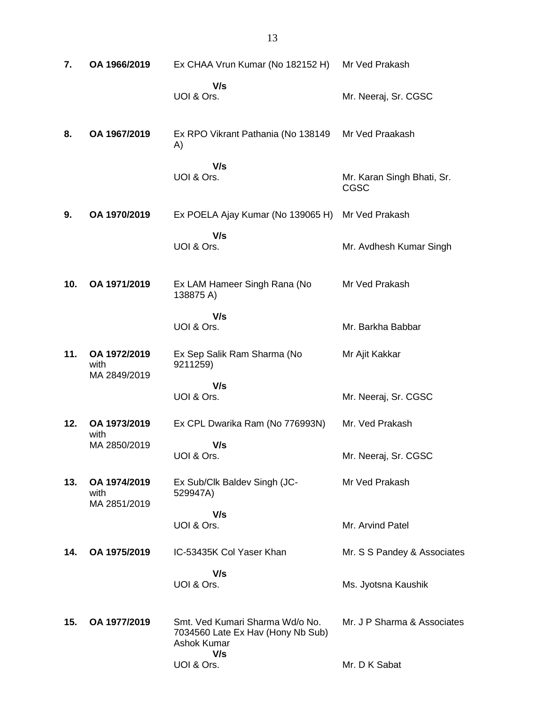| 7.  | OA 1966/2019                         | Ex CHAA Vrun Kumar (No 182152 H)                                                           | Mr Ved Prakash                     |
|-----|--------------------------------------|--------------------------------------------------------------------------------------------|------------------------------------|
|     |                                      | V/s<br>UOI & Ors.                                                                          | Mr. Neeraj, Sr. CGSC               |
| 8.  | OA 1967/2019                         | Ex RPO Vikrant Pathania (No 138149<br>A)                                                   | Mr Ved Praakash                    |
|     |                                      | V/s<br>UOI & Ors.                                                                          | Mr. Karan Singh Bhati, Sr.<br>CGSC |
| 9.  | OA 1970/2019                         | Ex POELA Ajay Kumar (No 139065 H)                                                          | Mr Ved Prakash                     |
|     |                                      | V/s<br>UOI & Ors.                                                                          | Mr. Avdhesh Kumar Singh            |
| 10. | OA 1971/2019                         | Ex LAM Hameer Singh Rana (No<br>138875 A)                                                  | Mr Ved Prakash                     |
|     |                                      | V/s<br>UOI & Ors.                                                                          | Mr. Barkha Babbar                  |
| 11. | OA 1972/2019<br>with<br>MA 2849/2019 | Ex Sep Salik Ram Sharma (No<br>9211259)                                                    | Mr Ajit Kakkar                     |
|     |                                      | V/s<br>UOI & Ors.                                                                          | Mr. Neeraj, Sr. CGSC               |
| 12. | OA 1973/2019<br>with                 | Ex CPL Dwarika Ram (No 776993N)                                                            | Mr. Ved Prakash                    |
|     | MA 2850/2019                         | V/s<br>UOI & Ors.                                                                          | Mr. Neeraj, Sr. CGSC               |
| 13. | OA 1974/2019<br>with<br>MA 2851/2019 | Ex Sub/Clk Baldev Singh (JC-<br>529947A)                                                   | Mr Ved Prakash                     |
|     |                                      | V/s<br>UOI & Ors.                                                                          | Mr. Arvind Patel                   |
| 14. | OA 1975/2019                         | IC-53435K Col Yaser Khan                                                                   | Mr. S S Pandey & Associates        |
|     |                                      | V/s<br>UOI & Ors.                                                                          | Ms. Jyotsna Kaushik                |
| 15. | OA 1977/2019                         | Smt. Ved Kumari Sharma Wd/o No.<br>7034560 Late Ex Hav (Hony Nb Sub)<br><b>Ashok Kumar</b> | Mr. J P Sharma & Associates        |
|     |                                      | V/s<br>UOI & Ors.                                                                          | Mr. D K Sabat                      |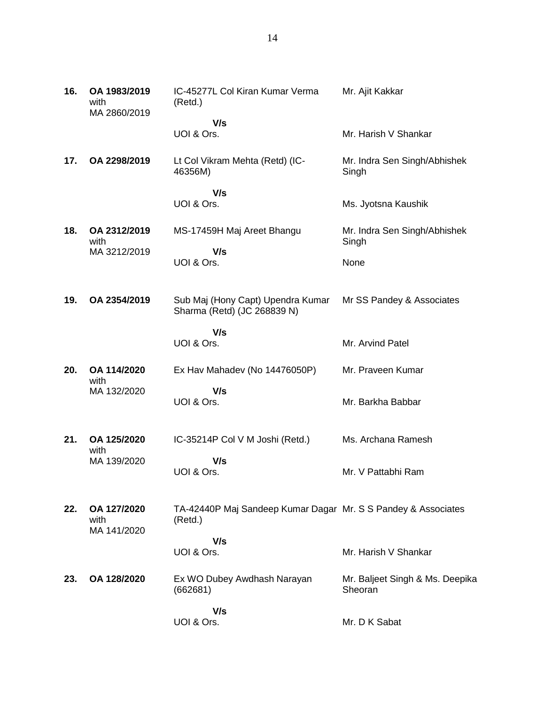| 16. | OA 1983/2019<br>with<br>MA 2860/2019 | IC-45277L Col Kiran Kumar Verma<br>(Retd.)                               | Mr. Ajit Kakkar                            |
|-----|--------------------------------------|--------------------------------------------------------------------------|--------------------------------------------|
|     |                                      | V/s                                                                      |                                            |
|     |                                      | UOI & Ors.                                                               | Mr. Harish V Shankar                       |
| 17. | OA 2298/2019                         | Lt Col Vikram Mehta (Retd) (IC-<br>46356M)                               | Mr. Indra Sen Singh/Abhishek<br>Singh      |
|     |                                      | V/s                                                                      |                                            |
|     |                                      | UOI & Ors.                                                               | Ms. Jyotsna Kaushik                        |
| 18. | OA 2312/2019<br>with                 | MS-17459H Maj Areet Bhangu                                               | Mr. Indra Sen Singh/Abhishek<br>Singh      |
|     | MA 3212/2019                         | V/s<br>UOI & Ors.                                                        | None                                       |
| 19. | OA 2354/2019                         | Sub Maj (Hony Capt) Upendra Kumar<br>Sharma (Retd) (JC 268839 N)         | Mr SS Pandey & Associates                  |
|     |                                      | V/s<br>UOI & Ors.                                                        | Mr. Arvind Patel                           |
| 20. | OA 114/2020<br>with                  | Ex Hav Mahadev (No 14476050P)                                            | Mr. Praveen Kumar                          |
|     | MA 132/2020                          | V/s<br>UOI & Ors.                                                        | Mr. Barkha Babbar                          |
| 21. | OA 125/2020<br>with                  | IC-35214P Col V M Joshi (Retd.)                                          | Ms. Archana Ramesh                         |
|     | MA 139/2020                          | V/s<br>UOI & Ors.                                                        | Mr. V Pattabhi Ram                         |
| 22. | OA 127/2020<br>with<br>MA 141/2020   | TA-42440P Maj Sandeep Kumar Dagar Mr. S S Pandey & Associates<br>(Retd.) |                                            |
|     |                                      | V/s<br>UOI & Ors.                                                        | Mr. Harish V Shankar                       |
| 23. | OA 128/2020                          | Ex WO Dubey Awdhash Narayan<br>(662681)                                  | Mr. Baljeet Singh & Ms. Deepika<br>Sheoran |
|     |                                      | V/s<br>UOI & Ors.                                                        | Mr. D K Sabat                              |